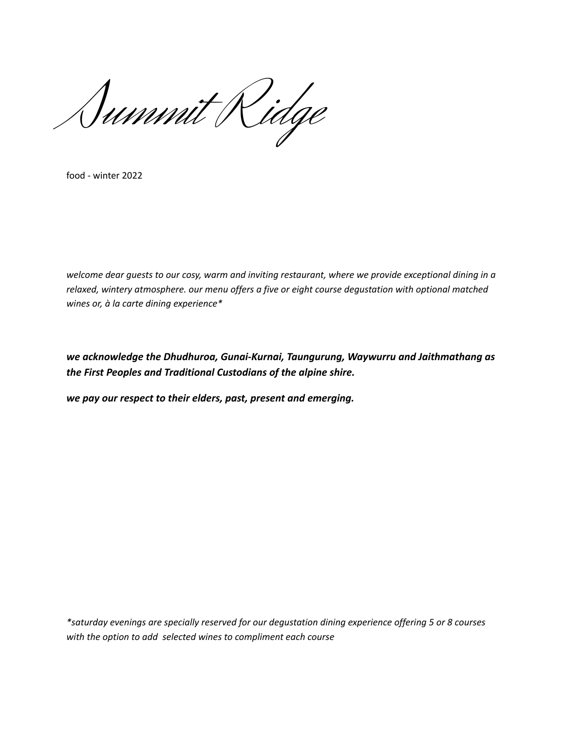Summit Ridge

food - winter 2022

*welcome dear guests to our cosy, warm and inviting restaurant, where we provide exceptional dining in a relaxed, wintery atmosphere. our menu offers a five or eight course degustation with optional matched wines or, à la carte dining experience\**

*we acknowledge the Dhudhuroa, Gunai-Kurnai, Taungurung, Waywurru and Jaithmathang as the First Peoples and Traditional Custodians of the alpine shire.*

*we pay our respect to their elders, past, present and emerging.*

*\*saturday evenings are specially reserved for our degustation dining experience offering 5 or 8 courses with the option to add selected wines to compliment each course*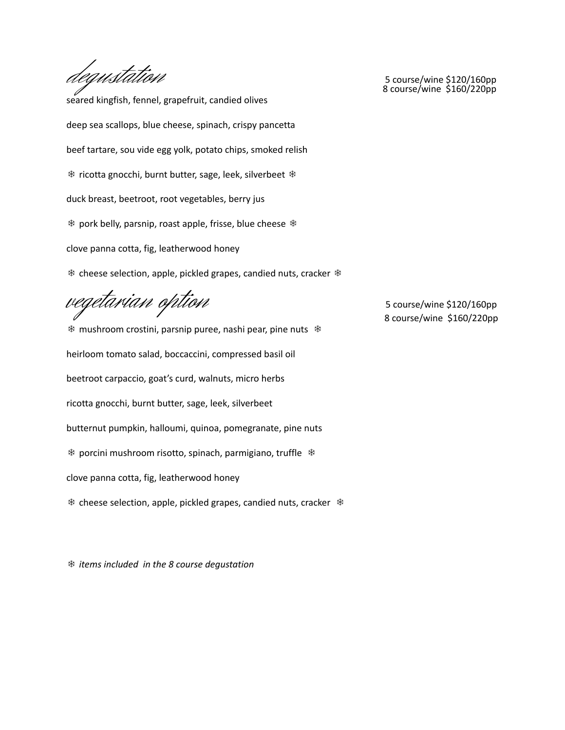degustation 5 course/wine \$120/160pp<br>8 course/wine \$160/220pp

seared kingfish, fennel, grapefruit, candied olives deep sea scallops, blue cheese, spinach, crispy pancetta beef tartare, sou vide egg yolk, potato chips, smoked relish ❄ ricotta gnocchi, burnt butter, sage, leek, silverbeet ❄ duck breast, beetroot, root vegetables, berry jus ❄ pork belly, parsnip, roast apple, frisse, blue cheese ❄ clove panna cotta, fig, leatherwood honey ❄ cheese selection, apple, pickled grapes, candied nuts, cracker ❄

vegetarian option 5 course/wine \$120/160pp

❄ mushroom crostini, parsnip puree, nashi pear, pine nuts ❄ heirloom tomato salad, boccaccini, compressed basil oil beetroot carpaccio, goat's curd, walnuts, micro herbs ricotta gnocchi, burnt butter, sage, leek, silverbeet butternut pumpkin, halloumi, quinoa, pomegranate, pine nuts ❄ porcini mushroom risotto, spinach, parmigiano, truffle ❄ clove panna cotta, fig, leatherwood honey ❄ cheese selection, apple, pickled grapes, candied nuts, cracker ❄

❄ *items included in the 8 course degustation*

8 course/wine \$160/220pp